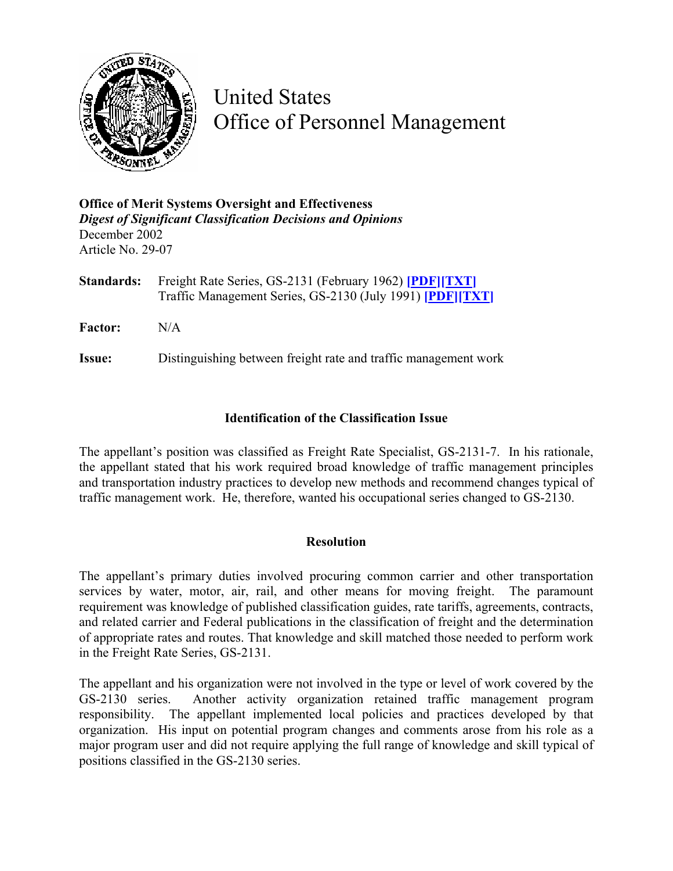

United States Office of Personnel Management

**Office of Merit Systems Oversight and Effectiveness**  *Digest of Significant Classification Decisions and Opinions* December 2002 Article No. 29-07

**Standards:** Freight Rate Series, GS-2131 (February 1962) **[\[PDF\]](http://www.opm.gov/fedclass/gs2131.pdf)[\[TXT\]](http://www.opm.gov/fedclass/text/gs2131.w51)** Traffic Management Series, GS-2130 (July 1991) **[\[PDF\]](http://www.opm.gov/fedclass/gs2130.pdf)[[TXT\]](http://www.opm.gov/fedclass/text/gs2130.w51)**

**Factor:** N/A

**Issue:** Distinguishing between freight rate and traffic management work

## **Identification of the Classification Issue**

The appellant's position was classified as Freight Rate Specialist, GS-2131-7. In his rationale, the appellant stated that his work required broad knowledge of traffic management principles and transportation industry practices to develop new methods and recommend changes typical of traffic management work. He, therefore, wanted his occupational series changed to GS-2130.

## **Resolution**

The appellant's primary duties involved procuring common carrier and other transportation services by water, motor, air, rail, and other means for moving freight. The paramount requirement was knowledge of published classification guides, rate tariffs, agreements, contracts, and related carrier and Federal publications in the classification of freight and the determination of appropriate rates and routes. That knowledge and skill matched those needed to perform work in the Freight Rate Series, GS-2131.

The appellant and his organization were not involved in the type or level of work covered by the GS-2130 series. Another activity organization retained traffic management program responsibility. The appellant implemented local policies and practices developed by that organization. His input on potential program changes and comments arose from his role as a major program user and did not require applying the full range of knowledge and skill typical of positions classified in the GS-2130 series.